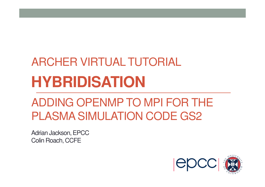# **HYBRIDISATION**ARCHER VIRTUAL TUTORIAL

#### ADDING OPENMP TO MPI FOR THE PLASMA SIMULATION CODE GS2

Adrian Jackson, EPCCColin Roach, CCFE

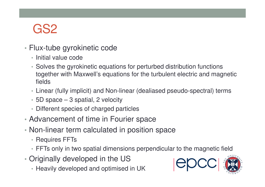### GS2

- Flux-tube gyrokinetic code
	- Initial value code
	- Solves the gyrokinetic equations for perturbed distribution functions together with Maxwell's equations for the turbulent electric and magnetic fields
	- Linear (fully implicit) and Non-linear (dealiased pseudo-spectral) terms
	- 5D space 3 spatial, 2 velocity
	- Different species of charged particles
- Advancement of time in Fourier space
- Non-linear term calculated in position space
	- Requires FFTs
	- FFTs only in two spatial dimensions perpendicular to the magnetic field
- • Originally developed in the US
	- Heavily developed and optimised in UK

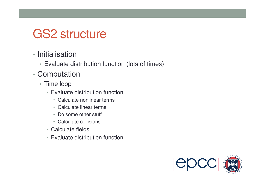#### GS2 structure

- Initialisation
	- Evaluate distribution function (lots of times)
- • Computation
	- Time loop
		- Evaluate distribution function
			- Calculate nonlinear terms
			- Calculate linear terms
			- Do some other stuff
			- Calculate collisions
		- Calculate fields
		- Evaluate distribution function

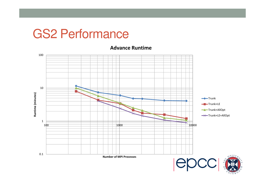**Advance Runtime**

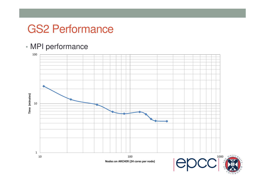#### • MPI performance



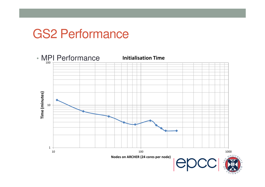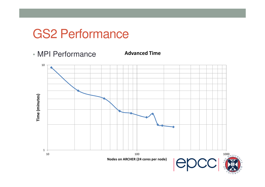• MPI Performance

**Advanced Time**

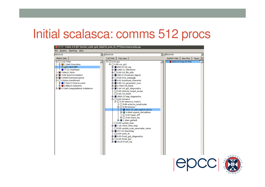# Initial scalasca: comms 512 procs

| Cube 3.4 QT: hector_epik_gs2_32p512_sum_le_FTT/summary.cube.gz<br>$\Box$                                                                                                                                                                                                                     |                                                                                                                                                                                                                                                                                                                                                                                                                                                                                                                                                                                                                                                                                                                                                                                                                                                                                                                                                                                                                                                 |                                                |  |
|----------------------------------------------------------------------------------------------------------------------------------------------------------------------------------------------------------------------------------------------------------------------------------------------|-------------------------------------------------------------------------------------------------------------------------------------------------------------------------------------------------------------------------------------------------------------------------------------------------------------------------------------------------------------------------------------------------------------------------------------------------------------------------------------------------------------------------------------------------------------------------------------------------------------------------------------------------------------------------------------------------------------------------------------------------------------------------------------------------------------------------------------------------------------------------------------------------------------------------------------------------------------------------------------------------------------------------------------------------|------------------------------------------------|--|
| File Display Topology Help                                                                                                                                                                                                                                                                   |                                                                                                                                                                                                                                                                                                                                                                                                                                                                                                                                                                                                                                                                                                                                                                                                                                                                                                                                                                                                                                                 |                                                |  |
| Absolute<br>▼                                                                                                                                                                                                                                                                                | Absolute<br>$\blacktriangledown$                                                                                                                                                                                                                                                                                                                                                                                                                                                                                                                                                                                                                                                                                                                                                                                                                                                                                                                                                                                                                | Absolute                                       |  |
| Metric tree                                                                                                                                                                                                                                                                                  | Call tree<br><b>Flat view</b>                                                                                                                                                                                                                                                                                                                                                                                                                                                                                                                                                                                                                                                                                                                                                                                                                                                                                                                                                                                                                   | System tree<br><b>Box Plot</b><br><b>Topol</b> |  |
| $\oplus$ 0.00 Time<br><b>d</b> 7.16e5 Execution<br><b>由□ 3.38e5 MPI</b><br>77.22 Overhead<br>3.69e11 Visits<br>⊕ 7168 Synchronizations<br>由 3.05e9 Communications<br><b>中口 0 Bytes transferred</b><br>⊕ 2.32e13 Point-to-point<br>由 2.98e15 Collective<br>由 ■ 4.33e4 Computational imbalance | $\dot{\boxminus}$ $\Box$ 0.00 qs2<br>$\dot{\boxplus}$ $\Box$ 0.00 run_gs2<br><b>中</b> ■ 839.23 init mp<br>$\oplus$ 1060.11 checktime<br>$\oplus$ 0.00 init file utils<br>中 289.25 broadcast logical<br>$\oplus$ 0.00 time message<br><b>中</b> 0.02 broadcast character<br>$\oplus$ 0.80 init parameter scan<br>$\oplus$ 2.70e5 init fields<br>中 ■ 5.94 init_gs2_diagnostics<br>$\Box$ 0.00 allocate target arrays<br>$\Box$ 0.00 init tstart<br>由 2956.15 loop_diagnostics<br>$\oplus$ 0.00 advance<br>$\dot{\boxminus}$ 0.00 advance implicit<br>$-\Box$ 0.00 antenna amplitudes<br>$\oplus$ 0.00 timeadv<br><b>D</b> 4622.22 add_explicit_terms<br>$\oplus$ 4.46e4 vspace derivatives<br>$\vdash$ $\Box$ 0.00 hyper diff<br>$\oplus$ 0.00 invert rhs<br>$\oplus$ 1.30e4 getfield<br>$-$ 0.00 update_time<br>$\oplus$ 1.28 check time step<br>$\Box$ 0.00 update scan parameter value<br>$\oplus$ 377.18 checkstop<br>$-$ 0.00 write dt<br>申■ 0.03 finish_gs2_diagnostics<br>$\oplus$ 0.00 finish gs2<br>$\oplus \blacksquare$ 16.18 finish mp | <b>由■ 4622.22 Cray XT PGI</b>                  |  |



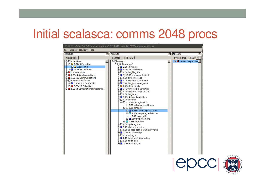# Initial scalasca: comms 2048 procs

| © © © Cube 3.4 QT: hector_epik_gs2_32p2048_sum_le_FTT/summary.cube.gz                                                                                                                                                                                                                     |                                                                                                                                                                                                                                                                                                                                                                                                                                                                                                                                                                                                                                                                                                                                                                                                                                                                                                                                                                                                                                                       |                              |  |
|-------------------------------------------------------------------------------------------------------------------------------------------------------------------------------------------------------------------------------------------------------------------------------------------|-------------------------------------------------------------------------------------------------------------------------------------------------------------------------------------------------------------------------------------------------------------------------------------------------------------------------------------------------------------------------------------------------------------------------------------------------------------------------------------------------------------------------------------------------------------------------------------------------------------------------------------------------------------------------------------------------------------------------------------------------------------------------------------------------------------------------------------------------------------------------------------------------------------------------------------------------------------------------------------------------------------------------------------------------------|------------------------------|--|
| File Display Topology Help                                                                                                                                                                                                                                                                |                                                                                                                                                                                                                                                                                                                                                                                                                                                                                                                                                                                                                                                                                                                                                                                                                                                                                                                                                                                                                                                       |                              |  |
| Absolute<br>$\blacktriangledown$                                                                                                                                                                                                                                                          | Absolute<br>회                                                                                                                                                                                                                                                                                                                                                                                                                                                                                                                                                                                                                                                                                                                                                                                                                                                                                                                                                                                                                                         | Absolute                     |  |
| <b>Metric tree</b>                                                                                                                                                                                                                                                                        | Call tree<br><b>Flat view</b>                                                                                                                                                                                                                                                                                                                                                                                                                                                                                                                                                                                                                                                                                                                                                                                                                                                                                                                                                                                                                         | <b>Box Pl</b><br>System tree |  |
| $\oplus$ 0.00 Time<br>白□ 8.30e5 Execution<br><b>由□ 9.10e5 MPI</b><br>1426.65 Overhead<br>5.11e11 Visits<br>⊕ 2.87e4 Synchronizations<br>由 1.22e10 Communications<br><b>中口 0 Bytes transferred</b><br>⊕ 3.15e13 Point-to-point<br>由 3.01e15 Collective<br>由 5.32e4 Computational imbalance | $\dot{\boxminus}$ 0.00 gs2<br>$\dot{\boxminus}$ 0.00 run gs2<br>$\oplus$ 2.58e4 init mp<br>$\oplus$ 4462.15 checktime<br>$\oplus$ $\Box$ 0.00 init file utils<br>中 ■ 1916.36 broadcast logical<br>$\oplus$ 0.00 time message<br>中 0.20 broadcast character<br>⊕ 3.20 init_parameter_scan<br>$\oplus$ 6.43e5 init fields<br>$\oplus$ 17.29 init gs2 diagnostics<br>$-$ 0.00 allocate target arrays<br>$-$ 0.00 init tstart<br>$\oplus$ 1.21e4 loop diagnostics<br>$\ominus$ $\Box$ 0.00 advance<br>$\dot{\boxminus}$ 0.00 advance implicit<br>$\vdash \Box$ 0.00 antenna_amplitudes<br>$\dot{\boxminus}$ 0.00 timeadv<br>$\oplus$ 1.66e4 add explicit terms<br>$\oplus$ 1.03e5 vspace derivatives<br>$\vdash$ $\Box$ 0.00 hyper diff<br>$\oplus$ 3502.82 invert rhs<br>$\oplus$ 9.66e4 getfield<br>$-\Box$ 0.00 update time<br>$\oplus$ 5.75 check time step<br>$-\Box$ 0.00 update scan parameter value<br>$\oplus$ 1203.99 checkstop<br>$\Box$ 0.00 write dt<br>中 ■ 0.15 finish_gs2_diagnostics<br>$\oplus$ 0.00 finish qs2<br>⊕ ■ 1891.60 finish mp | 由 1.66e4 Cray XT PGI         |  |



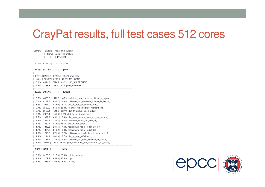#### CrayPat results, full test cases 512 cores

Samp% | Samp | Imb. | Imb. | Group | | Samp | Samp% | Function | | | | PE=HIDE100.0% | 80297.2 | -- | -- |Total |-----------------------------------------------------------------------------**| 47.0% | 37713.5 | -- | -- |MPI** ||----------------------------------------------------------------------------|| 27.7% | 22207.4 | 27269.6 | 55.2% |mpi\_recv || 10.8% | 8696.7 | 6267.3 | 42.0% |MPI\_SEND || 5.6% | 4494.3 | 7790.7 | 63.5% |MPI\_ALLREDUCE|| 2.2% | 1788.8 | 68.2 | 3.7% |MPI\_BARRIER ||============================================================================**| 43.5% | 34957.6 | -- | -- |USER** ||----------------------------------------------------------------------------|| 8.5% | 6803.0 | 1173.0 | 14.7% | collisions mp\_conserve\_diffuse\_le\_layout || 5.1% | 4132.3 | 632.7 | 13.3% |collisions\_mp\_conserve\_lorentz\_le\_layout\_|| 3.2% | 2543.0 | 486.0 | 16.1% |dist\_fn\_mp\_get\_source\_term\_ || 2.7% | 2180.2 | 859.8 | 28.3% |le\_grids\_mp\_integrate\_moment\_lec\_|| 2.7% | 2162.4 | 1019.6 | 32.1% |dist\_fn\_arrays\_mp\_g\_adjust\_|| 2.6% | 2053.4 | 155.6 | 7.1% |dist\_fn\_mp\_invert\_rhs\_1\_ || 2.5% | 1999.9 | 451.1 | 18.4% |dist\_fnget\_source\_term\_mp\_set\_source\_|| 2.3% | 1835.8 | 235.2 | 11.4% |nonlinear\_terms\_mp\_add\_nl\_|| 1.7% | 1350.4 | 418.6 | 23.7% |dist\_fn\_mp\_getan\_ || 1.7% | 1342.5 | 281.5 | 17.4% |redistribute\_mp\_c\_redist\_33\_inv\_|| 1.7% | 1334.8 | 319.2 | 19.3% |redistribute\_mp\_c\_redist\_33\_ || 1.5% | 1219.0 | 271.0 | 18.2% |collisions\_mp\_solfp\_lorentz\_le\_layout\_..0|| 1.4% | 1144.1 | 261.9 | 18.7% |dist\_fn\_mp\_getfieldeq1\_ || 1.4% | 1136.7 | 226.3 | 16.6% |collisions\_mp\_solfp\_ediffuse\_le\_layout\_ || 1.2% | 940.8 | 185.2 | 16.5% |gs2\_transforms\_mp\_transform2\_5d\_accel\_ ||============================================================================**| 9.5% | 7602.4 | -- | -- |ETC**||----------------------------------------------------------------------------|| 3.9% | 3153.0 | 917.0 | 22.6% |\_\_intel\_memset|| 1.4% | 1159.2 | 659.8 | 36.3% |copy || 1.3% | 1035.1 | 153.9 | 13.0% |hc2cb\_12|=============================================================================



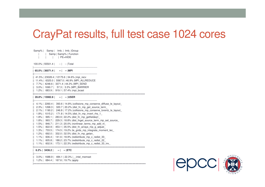#### CrayPat results, full test case 1024 cores

Samp% | Samp | Imb. | Imb. | Group | | Samp | Samp% | Function| | | | PE=HIDE100.0% | 55501.4 | -- | -- |Total |-----------------------------------------------------------------------------**| 65.0% | 36071.4 | -- | -- |MPI** ||----------------------------------------------------------------------------|| 41.5% | 23028.4 | 12175.6 | 34.6% |mpi\_recv || 11.4% | 6325.0 | 5567.0 | 46.9% |MPI\_ALLREDUCE|| 7.7% | 4248.6 | 3371.4 | 44.3% |MPI\_SEND || 3.0% | 1690.7 | 57.3 | 3.3% |MPI\_BARRIER|| 1.2% | 683.9 | 919.1 | 57.4% |mpi\_bcast||============================================================================**| 28.8% | 15982.8 | -- | -- |USER** ||---------------------------------------------------------------------------- || 4.1% | 2260.4 | 393.6 | 14.8% |collisions\_mp\_conserve\_diffuse\_le\_layout\_|| 2.3% | 1268.3 | 320.7 | 20.2% |dist\_fn\_mp\_get\_source\_term\_ || 2.1% | 1190.2 | 246.8 | 17.2% |collisions\_mp\_conserve\_lorentz\_le\_layout\_|| 1.8% | 1015.2 | 171.8 | 14.5% |dist\_fn\_mp\_invert\_rhs\_1\_|| 1.8% | 995.1 | 283.9 | 22.2% |dist\_fn\_mp\_getfieldeq1\_ || 1.8% | 993.7 | 229.3 | 18.8% |dist\_fnget\_source\_term\_mp\_set\_source\_|| 1.5% | 846.7 | 211.3 | 20.0% |nonlinear\_terms\_mp\_add\_nl\_ || 1.5% | 822.9 | 453.1 | 35.5% |dist\_fn\_arrays\_mp\_g\_adjust\_ || 1.3% | 733.5 | 174.5 | 19.2% |le\_grids\_mp\_integrate\_moment\_lec\_|| 1.2% | 692.0 | 332.0 | 32.5% |dist\_fn\_mp\_getan\_ || 1.1% | 606.4 | 141.6 | 18.9% |redistribute\_mp\_c\_redist\_33\_ || 1.1% | 605.8 | 188.2 | 23.7% |redistribute\_mp\_c\_redist\_22\_ || 1.1% | 602.9 | 173.1 | 22.3% |redistribute\_mp\_c\_redist\_33\_inv\_ ||============================================================================**| 6.2% | 3436.2 | -- | -- |ETC** ||----------------------------------------------------------------------------|| 3.0% | 1688.9 | 484.1 | 22.3% |\_\_intel\_memset|| 1.2% | 684.4 | 167.6 | 19.7% |apply|=============================================================================

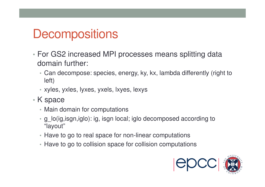### **Decompositions**

- • For GS2 increased MPI processes means splitting data domain further:
	- Can decompose: species, energy, ky, kx, lambda differently (right to left)
	- xyles, yxles, lyxes, yxels, lxyes, lexys
- K space
	- Main domain for computations
	- g\_lo(ig,isgn,iglo): ig, isgn local; iglo decomposed according to "layout"
	- Have to go to real space for non-linear computations
	- Have to go to collision space for collision computations

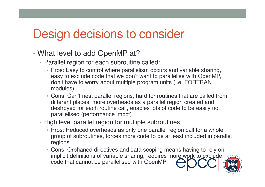#### Design decisions to consider

- • What level to add OpenMP at?
	- Parallel region for each subroutine called:
		- Pros: Easy to control where parallelism occurs and variable sharing, easy to exclude code that we don't want to parallelise with OpenMP, don't have to worry about multiple program units (i.e. FORTRAN modules)
		- Cons: Can't nest parallel regions, hard for routines that are called from different places, more overheads as a parallel region created and destroyed for each routine call, enables lots of code to be easily not parallelised (performance impct)
	- High level parallel region for multiple subroutines:
		- Pros: Reduced overheads as only one parallel region call for a whole group of subroutines, forces more code to be at least included in parallel regions
		- Cons: Orphaned directives and data scoping means having to rely on implicit definitions of variable sharing, requires more work to exclude code that cannot be parallelised with OpenMP

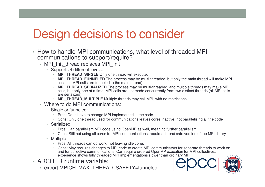#### Design decisions to consider

- How to handle MPI communications, what level of threaded MPI communications to support/require?
	- MPI\_Init\_thread replaces MPI\_Init
		- Supports 4 different levels:
			- **MPI\_THREAD\_SINGLE** Only one thread will execute.
			- **MPI\_THREAD\_FUNNELED** The process may be multi-threaded, but only the main thread will make MPI calls (all MPI calls are funneled to the main thread).
			- **MPI\_THREAD\_SERIALIZED** The process may be multi-threaded, and multiple threads may make MPI calls, but only one at a time: MPI calls are not made concurrently from two distinct threads (all MPI calls are serialized).
			- **MPI\_THREAD\_MULTIPLE** Multiple threads may call MPI, with no restrictions.
	- Where to do MPI communications:
		- Single or funneled:
			- Pros: Don't have to change MPI implemented in the code
			- Cons: Only one thread used for communications leaves cores inactive, not parallelising all the code
		- Serialized
			- Pros: Can parallelism MPI code using OpenMP as well, meaning further parallelism
			- Cons: Still not using all cores for MPI communications, requires thread safe version of the MPI library
		- Multiple:
			- Pros: All threads can do work, not leaving idle cores
			- Cons: May requires changes to MPI code to create MPI communicators for separate threads to work on, and for collective communications. Can require ordered OpenMP execution for MPI collectives, experience shows fully threaded MPI implementations slower than ordinary MPI
- ARCHER runtime variable:
	- export MPICH\_MAX\_THREAD\_SAFETY=funneled

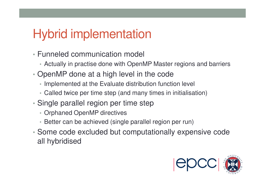# Hybrid implementation

- Funneled communication model
	- Actually in practise done with OpenMP Master regions and barriers
- • OpenMP done at a high level in the code
	- Implemented at the Evaluate distribution function level
	- Called twice per time step (and many times in initialisation)
- • Single parallel region per time step
	- Orphaned OpenMP directives
	- Better can be achieved (single parallel region per run)
- • Some code excluded but computationally expensive code all hybridised

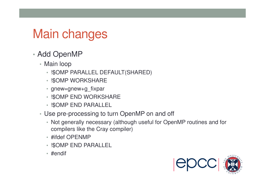# Main changes

- • Add OpenMP
	- Main loop
		- !\$OMP PARALLEL DEFAULT(SHARED)
		- !\$OMP WORKSHARE
		- gnew=gnew+g\_fixpar
		- !\$OMP END WORKSHARE
		- !\$OMP END PARALLEL
	- Use pre-processing to turn OpenMP on and off
		- Not generally necessary (although useful for OpenMP routines and for compilers like the Cray compiler)
		- #ifdef OPENMP
		- !\$OMP END PARALLEL
		- #endif

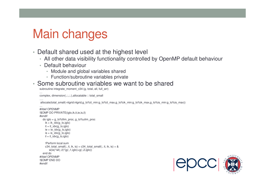## Main changes

- Default shared used at the highest level
	- All other data visibility functionality controlled by OpenMP default behaviour
	- Default behaviour

…

….

…

- Module and global variables shared
- Function/subroutine variables private

#### • Some subroutine variables we want to be shared

subroutine integrate\_moment\_c34 (g, total, all, full\_arr)

```

complex, dimension(:,:,:,:),allocatable :: total_small
```

```

allocate(total_small(-ntgrid:ntgrid,g_lo%it_min:g_lo%it_max,g_lo%ik_min:g_lo%ik_max,g_lo%is_min:g_lo%is_max))
```

```

#ifdef OPENMP
!$OMP DO PRIVATE(iglo,ik,it,ie,is,il)#endif
do iglo = g_lo%llim_proc, g_lo%ulim_procik = ik_idx(g_lo,iglo)it = it_idx(g_lo,iglo)
ie = ie_idx(g_lo,iglo)
is = is_idx(g_lo,iglo)il = il idx(g lo,iglo)
    !Perform local sum
c34_total_small(:, it, ik, is) = c34_total_small(:, it, ik, is) + &w(ie)^*wl(:,il)^*(g(:,1,iglo)+g(:,2,iglo))end do
#ifdef OPENMP
!$OMP END DO#endif
```
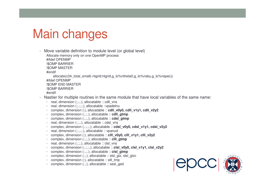## Main changes

• Move variable definition to module level (or global level)

Allocate memory only on one OpenMP process

#ifdef OPENMP

!\$OMP BARRIER

!\$OMP MASTER

#endif

allocate(c34\_total\_small(-ntgrid:ntgrid,g\_lo%ntheta0,g\_lo%naky,g\_lo%nspec))

#ifdef OPENMP

!\$OMP END MASTER

!\$OMP BARRIER

#endif

- Nastier for multiple routines in the same module that have local variables of the same name:
	- real, dimension (:,:,:), allocatable :: cdll\_vns
	- real, dimension (:,:,:,:), allocatable ::vpadelnu
	- complex, dimension (:), allocatable :: **cdll\_v0y0, cdll\_v1y1, cdll\_v2y2**
	- complex, dimension (:,:,:), allocatable :: **cdll\_gtmp**
	- complex, dimension (:,:,:), allocatable :: **cdsl\_gtmp**
	- real, dimension (:,:,:), allocatable :: cdsl\_vns
	- complex, dimension (:,:,:,:), allocatable :: **cdsl\_v0y0, cdsl\_v1y1, cdsl\_v2y2**
	- real, dimension (:,:,:,:), allocatable :: vpanud
	- complex, dimension (:), allocatable :: **clll\_v0y0, clll\_v1y1, clll\_v2y2**
	- complex, dimension (:,:,:), allocatable :: **clll\_gtmp**
	- real, dimension (:,:,:), allocatable :: clsl\_vns
	- complex, dimension (:,:,:,:), allocatable :: **clsl\_v0y0, clsl\_v1y1, clsl\_v2y2**
	- complex, dimension (:,:,:), allocatable :: **clsl\_gtmp**
	- complex, dimension (:,:), allocatable :: slsl\_glz, slsl\_glzc
	- complex, dimension (:), allocatable :: slll\_tmp
	- complex, dimension (:,:), allocatable :: sesl\_ged

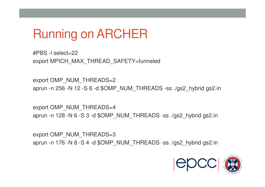

#PBS -l select=22export MPICH\_MAX\_THREAD\_SAFETY=funneled

export OMP\_NUM\_THREADS=2 aprun -n 256 -N 12 -S 6 -d \$OMP\_NUM\_THREADS -ss ./gs2\_hybrid gs2.in

export OMP\_NUM\_THREADS=4aprun -n 128 -N 6 -S 3 -d \$OMP\_NUM\_THREADS -ss ./gs2\_hybrid gs2.in

export OMP\_NUM\_THREADS=3aprun -n 176 -N 8 -S 4 -d \$OMP\_NUM\_THREADS -ss ./gs2\_hybrid gs2.in

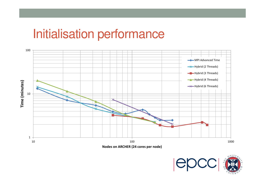#### Initialisation performance



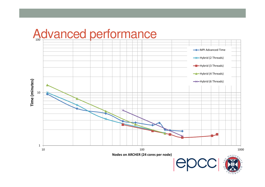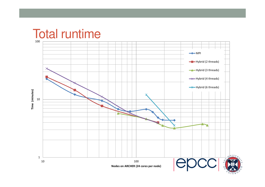#### Total runtime

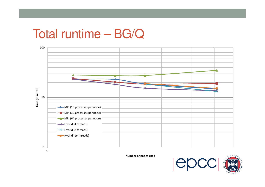#### Total runtime – BG/Q



**Number of nodes used**

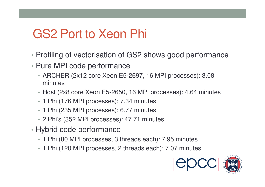## GS2 Port to Xeon Phi

- •Profiling of vectorisation of GS2 shows good performance
- Pure MPI code performance
	- ARCHER (2x12 core Xeon E5-2697, 16 MPI processes): 3.08 minutes
	- Host (2x8 core Xeon E5-2650, 16 MPI processes): 4.64 minutes
	- 1 Phi (176 MPI processes): 7.34 minutes
	- 1 Phi (235 MPI processes): 6.77 minutes
	- 2 Phi's (352 MPI processes): 47.71 minutes
- Hybrid code performance
	- 1 Phi (80 MPI processes, 3 threads each): 7.95 minutes
	- 1 Phi (120 MPI processes, 2 threads each): 7.07 minutes